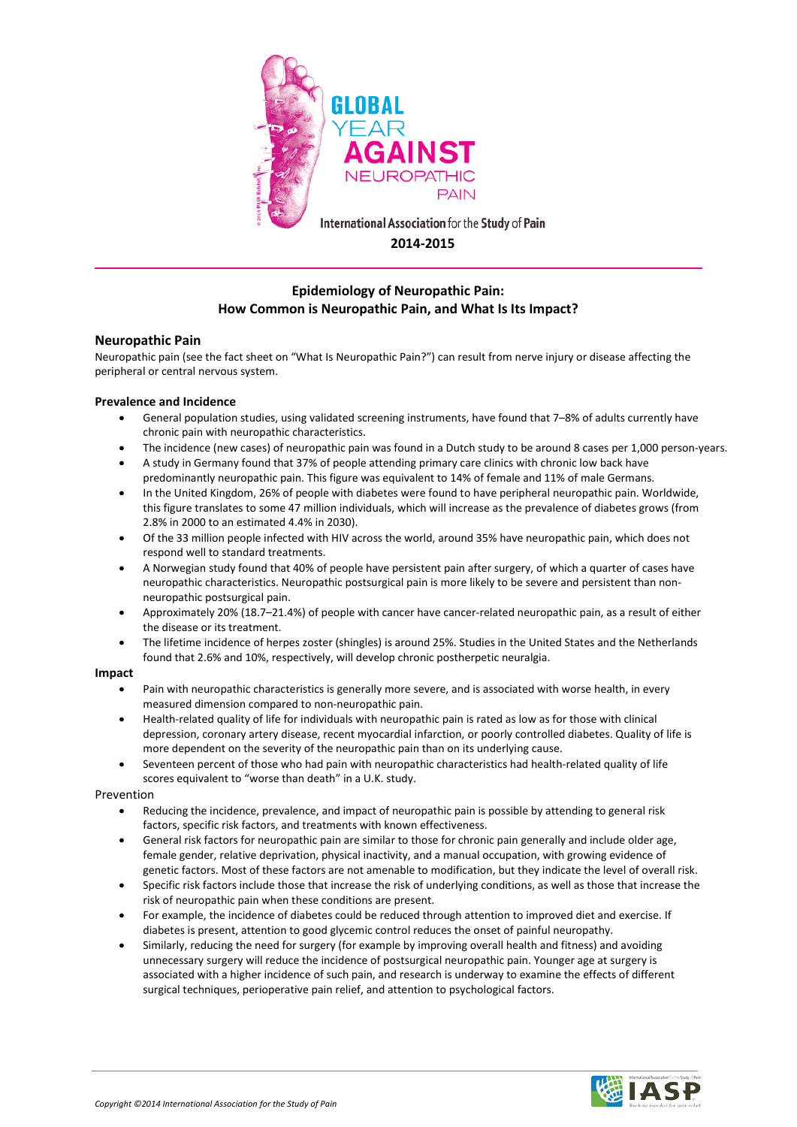

# **Epidemiology of Neuropathic Pain: How Common is Neuropathic Pain, and What Is Its Impact?**

## **Neuropathic Pain**

Neuropathic pain (see the fact sheet on "What Is Neuropathic Pain?") can result from nerve injury or disease affecting the peripheral or central nervous system.

### **Prevalence and Incidence**

- General population studies, using validated screening instruments, have found that 7–8% of adults currently have chronic pain with neuropathic characteristics.
- The incidence (new cases) of neuropathic pain was found in a Dutch study to be around 8 cases per 1,000 person-years.
- A study in Germany found that 37% of people attending primary care clinics with chronic low back have predominantly neuropathic pain. This figure was equivalent to 14% of female and 11% of male Germans.
- In the United Kingdom, 26% of people with diabetes were found to have peripheral neuropathic pain. Worldwide, this figure translates to some 47 million individuals, which will increase as the prevalence of diabetes grows (from 2.8% in 2000 to an estimated 4.4% in 2030).
- Of the 33 million people infected with HIV across the world, around 35% have neuropathic pain, which does not respond well to standard treatments.
- A Norwegian study found that 40% of people have persistent pain after surgery, of which a quarter of cases have neuropathic characteristics. Neuropathic postsurgical pain is more likely to be severe and persistent than nonneuropathic postsurgical pain.
- Approximately 20% (18.7–21.4%) of people with cancer have cancer-related neuropathic pain, as a result of either the disease or its treatment.
- The lifetime incidence of herpes zoster (shingles) is around 25%. Studies in the United States and the Netherlands found that 2.6% and 10%, respectively, will develop chronic postherpetic neuralgia.

### **Impact**

- Pain with neuropathic characteristics is generally more severe, and is associated with worse health, in every measured dimension compared to non-neuropathic pain.
- Health-related quality of life for individuals with neuropathic pain is rated as low as for those with clinical depression, coronary artery disease, recent myocardial infarction, or poorly controlled diabetes. Quality of life is more dependent on the severity of the neuropathic pain than on its underlying cause.
- Seventeen percent of those who had pain with neuropathic characteristics had health-related quality of life scores equivalent to "worse than death" in a U.K. study.

#### Prevention

- Reducing the incidence, prevalence, and impact of neuropathic pain is possible by attending to general risk factors, specific risk factors, and treatments with known effectiveness.
- General risk factors for neuropathic pain are similar to those for chronic pain generally and include older age, female gender, relative deprivation, physical inactivity, and a manual occupation, with growing evidence of genetic factors. Most of these factors are not amenable to modification, but they indicate the level of overall risk.
- Specific risk factors include those that increase the risk of underlying conditions, as well as those that increase the risk of neuropathic pain when these conditions are present.
- For example, the incidence of diabetes could be reduced through attention to improved diet and exercise. If diabetes is present, attention to good glycemic control reduces the onset of painful neuropathy.
- Similarly, reducing the need for surgery (for example by improving overall health and fitness) and avoiding unnecessary surgery will reduce the incidence of postsurgical neuropathic pain. Younger age at surgery is associated with a higher incidence of such pain, and research is underway to examine the effects of different surgical techniques, perioperative pain relief, and attention to psychological factors.